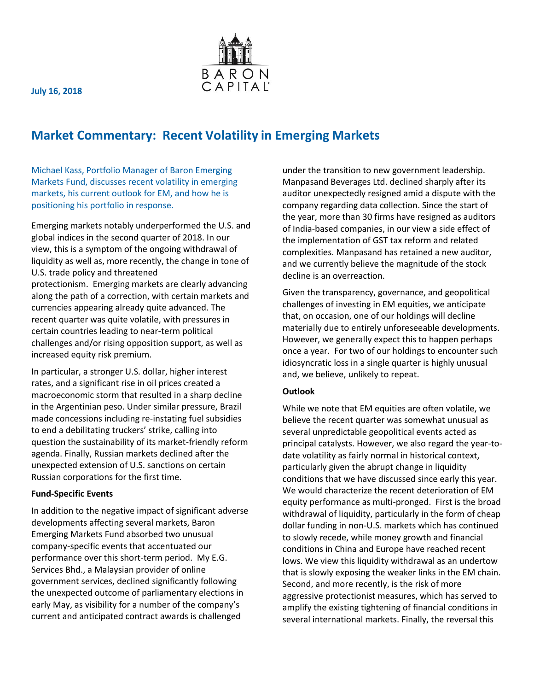

**July 16, 2018**

## **Market Commentary: Recent Volatility in Emerging Markets**

Michael Kass, Portfolio Manager of Baron Emerging Markets Fund, discusses recent volatility in emerging markets, his current outlook for EM, and how he is positioning his portfolio in response.

Emerging markets notably underperformed the U.S. and global indices in the second quarter of 2018. In our view, this is a symptom of the ongoing withdrawal of liquidity as well as, more recently, the change in tone of U.S. trade policy and threatened protectionism. Emerging markets are clearly advancing along the path of a correction, with certain markets and currencies appearing already quite advanced. The recent quarter was quite volatile, with pressures in certain countries leading to near-term political challenges and/or rising opposition support, as well as increased equity risk premium.

In particular, a stronger U.S. dollar, higher interest rates, and a significant rise in oil prices created a macroeconomic storm that resulted in a sharp decline in the Argentinian peso. Under similar pressure, Brazil made concessions including re-instating fuel subsidies to end a debilitating truckers' strike, calling into question the sustainability of its market-friendly reform agenda. Finally, Russian markets declined after the unexpected extension of U.S. sanctions on certain Russian corporations for the first time.

## **Fund-Specific Events**

In addition to the negative impact of significant adverse developments affecting several markets, Baron Emerging Markets Fund absorbed two unusual company-specific events that accentuated our performance over this short-term period. My E.G. Services Bhd., a Malaysian provider of online government services, declined significantly following the unexpected outcome of parliamentary elections in early May, as visibility for a number of the company's current and anticipated contract awards is challenged

under the transition to new government leadership. Manpasand Beverages Ltd. declined sharply after its auditor unexpectedly resigned amid a dispute with the company regarding data collection. Since the start of the year, more than 30 firms have resigned as auditors of India-based companies, in our view a side effect of the implementation of GST tax reform and related complexities. Manpasand has retained a new auditor, and we currently believe the magnitude of the stock decline is an overreaction.

Given the transparency, governance, and geopolitical challenges of investing in EM equities, we anticipate that, on occasion, one of our holdings will decline materially due to entirely unforeseeable developments. However, we generally expect this to happen perhaps once a year. For two of our holdings to encounter such idiosyncratic loss in a single quarter is highly unusual and, we believe, unlikely to repeat.

## **Outlook**

While we note that EM equities are often volatile, we believe the recent quarter was somewhat unusual as several unpredictable geopolitical events acted as principal catalysts. However, we also regard the year-todate volatility as fairly normal in historical context, particularly given the abrupt change in liquidity conditions that we have discussed since early this year. We would characterize the recent deterioration of EM equity performance as multi-pronged. First is the broad withdrawal of liquidity, particularly in the form of cheap dollar funding in non-U.S. markets which has continued to slowly recede, while money growth and financial conditions in China and Europe have reached recent lows. We view this liquidity withdrawal as an undertow that is slowly exposing the weaker links in the EM chain. Second, and more recently, is the risk of more aggressive protectionist measures, which has served to amplify the existing tightening of financial conditions in several international markets. Finally, the reversal this